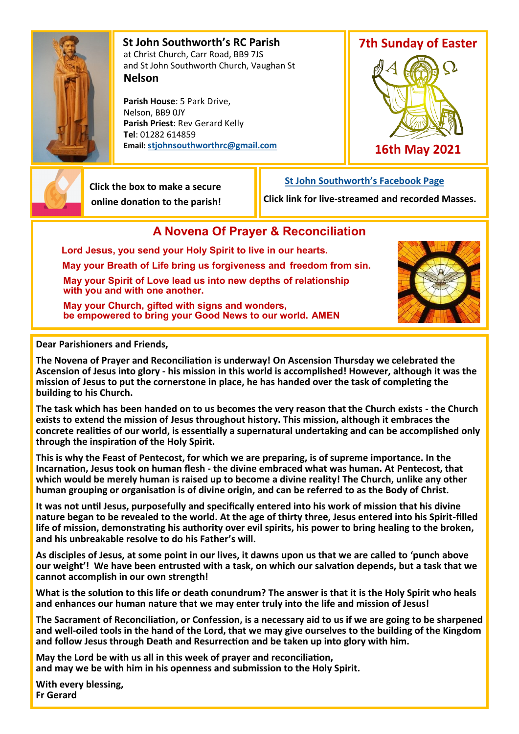

 **St John Southworth's RC Parish** at Christ Church, Carr Road, BB9 7JS and St John Southworth Church, Vaughan St **Nelson**

 **Parish House**: 5 Park Drive, Nelson, BB9 0JY **Parish Priest**: Rev Gerard Kelly **Tel**: 01282 614859 **Email: [stjohnsouthworthrc@gmail.com](mailto:stjohnsouthworth@gmail.com)**





 **Click the box to make a secure online donation to the parish!**

 **[St John Southworth's Facebook Page](https://www.facebook.com/Parish-of-St-John-Southworth-in-Nelson-105718084323986) Click link for live-streamed and recorded Masses.**

## **A Novena Of Prayer & Reconciliation**

**Lord Jesus, you send your Holy Spirit to live in our hearts. May your Breath of Life bring us forgiveness and freedom from sin. May your Spirit of Love lead us into new depths of relationship with you and with one another.**

 **May your Church, gifted with signs and wonders, be empowered to bring your Good News to our world. AMEN**



**Dear Parishioners and Friends,**

**The Novena of Prayer and Reconciliation is underway! On Ascension Thursday we celebrated the Ascension of Jesus into glory - his mission in this world is accomplished! However, although it was the mission of Jesus to put the cornerstone in place, he has handed over the task of completing the building to his Church.** 

**The task which has been handed on to us becomes the very reason that the Church exists - the Church exists to extend the mission of Jesus throughout history. This mission, although it embraces the concrete realities of our world, is essentially a supernatural undertaking and can be accomplished only through the inspiration of the Holy Spirit.**

**This is why the Feast of Pentecost, for which we are preparing, is of supreme importance. In the Incarnation, Jesus took on human flesh - the divine embraced what was human. At Pentecost, that which would be merely human is raised up to become a divine reality! The Church, unlike any other human grouping or organisation is of divine origin, and can be referred to as the Body of Christ.**

**It was not until Jesus, purposefully and specifically entered into his work of mission that his divine nature began to be revealed to the world. At the age of thirty three, Jesus entered into his Spirit-filled life of mission, demonstrating his authority over evil spirits, his power to bring healing to the broken, and his unbreakable resolve to do his Father's will.** 

**As disciples of Jesus, at some point in our lives, it dawns upon us that we are called to 'punch above our weight'! We have been entrusted with a task, on which our salvation depends, but a task that we cannot accomplish in our own strength!**

**What is the solution to this life or death conundrum? The answer is that it is the Holy Spirit who heals and enhances our human nature that we may enter truly into the life and mission of Jesus!**

**The Sacrament of Reconciliation, or Confession, is a necessary aid to us if we are going to be sharpened and well-oiled tools in the hand of the Lord, that we may give ourselves to the building of the Kingdom and follow Jesus through Death and Resurrection and be taken up into glory with him.**

**May the Lord be with us all in this week of prayer and reconciliation, and may we be with him in his openness and submission to the Holy Spirit.**

**With every blessing, Fr Gerard**